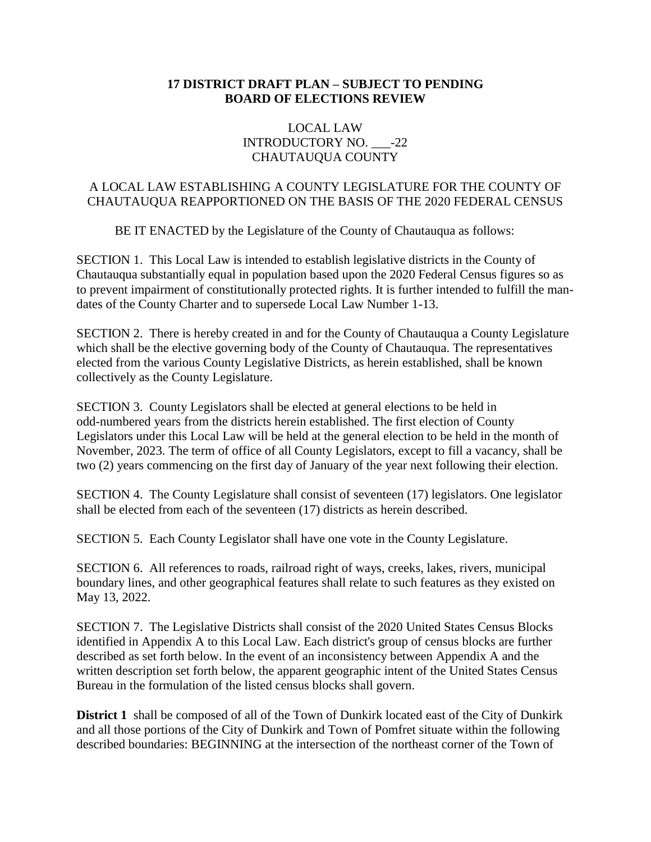## **17 DISTRICT DRAFT PLAN – SUBJECT TO PENDING BOARD OF ELECTIONS REVIEW**

## LOCAL LAW INTRODUCTORY NO. -22 CHAUTAUQUA COUNTY

## A LOCAL LAW ESTABLISHING A COUNTY LEGISLATURE FOR THE COUNTY OF CHAUTAUQUA REAPPORTIONED ON THE BASIS OF THE 2020 FEDERAL CENSUS

BE IT ENACTED by the Legislature of the County of Chautauqua as follows:

SECTION 1. This Local Law is intended to establish legislative districts in the County of Chautauqua substantially equal in population based upon the 2020 Federal Census figures so as to prevent impairment of constitutionally protected rights. It is further intended to fulfill the mandates of the County Charter and to supersede Local Law Number 1-13.

SECTION 2. There is hereby created in and for the County of Chautauqua a County Legislature which shall be the elective governing body of the County of Chautauqua. The representatives elected from the various County Legislative Districts, as herein established, shall be known collectively as the County Legislature.

SECTION 3. County Legislators shall be elected at general elections to be held in odd-numbered years from the districts herein established. The first election of County Legislators under this Local Law will be held at the general election to be held in the month of November, 2023. The term of office of all County Legislators, except to fill a vacancy, shall be two (2) years commencing on the first day of January of the year next following their election.

SECTION 4. The County Legislature shall consist of seventeen (17) legislators. One legislator shall be elected from each of the seventeen (17) districts as herein described.

SECTION 5. Each County Legislator shall have one vote in the County Legislature.

SECTION 6. All references to roads, railroad right of ways, creeks, lakes, rivers, municipal boundary lines, and other geographical features shall relate to such features as they existed on May 13, 2022.

SECTION 7. The Legislative Districts shall consist of the 2020 United States Census Blocks identified in Appendix A to this Local Law. Each district's group of census blocks are further described as set forth below. In the event of an inconsistency between Appendix A and the written description set forth below, the apparent geographic intent of the United States Census Bureau in the formulation of the listed census blocks shall govern.

**District 1** shall be composed of all of the Town of Dunkirk located east of the City of Dunkirk and all those portions of the City of Dunkirk and Town of Pomfret situate within the following described boundaries: BEGINNING at the intersection of the northeast corner of the Town of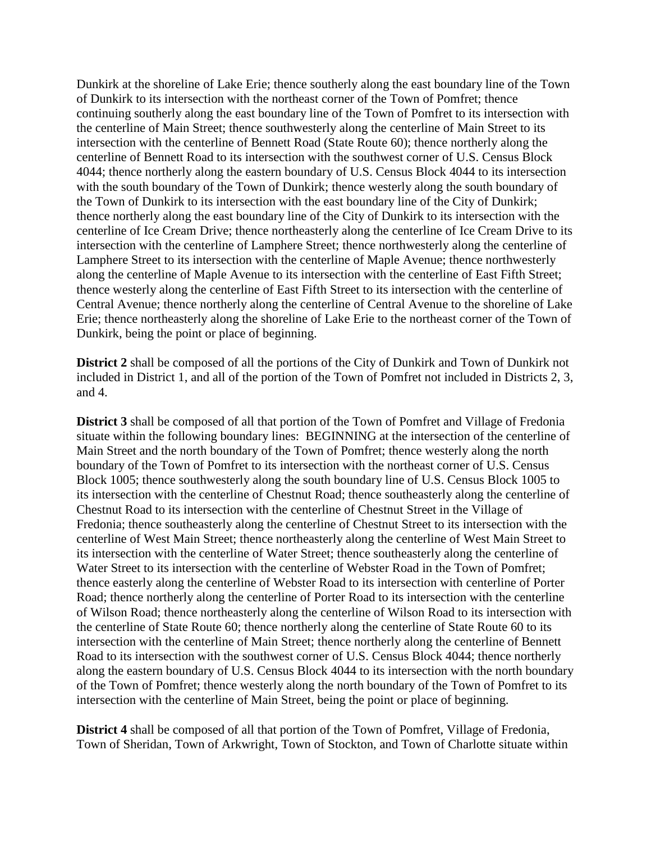Dunkirk at the shoreline of Lake Erie; thence southerly along the east boundary line of the Town of Dunkirk to its intersection with the northeast corner of the Town of Pomfret; thence continuing southerly along the east boundary line of the Town of Pomfret to its intersection with the centerline of Main Street; thence southwesterly along the centerline of Main Street to its intersection with the centerline of Bennett Road (State Route 60); thence northerly along the centerline of Bennett Road to its intersection with the southwest corner of U.S. Census Block 4044; thence northerly along the eastern boundary of U.S. Census Block 4044 to its intersection with the south boundary of the Town of Dunkirk; thence westerly along the south boundary of the Town of Dunkirk to its intersection with the east boundary line of the City of Dunkirk; thence northerly along the east boundary line of the City of Dunkirk to its intersection with the centerline of Ice Cream Drive; thence northeasterly along the centerline of Ice Cream Drive to its intersection with the centerline of Lamphere Street; thence northwesterly along the centerline of Lamphere Street to its intersection with the centerline of Maple Avenue; thence northwesterly along the centerline of Maple Avenue to its intersection with the centerline of East Fifth Street; thence westerly along the centerline of East Fifth Street to its intersection with the centerline of Central Avenue; thence northerly along the centerline of Central Avenue to the shoreline of Lake Erie; thence northeasterly along the shoreline of Lake Erie to the northeast corner of the Town of Dunkirk, being the point or place of beginning.

**District 2** shall be composed of all the portions of the City of Dunkirk and Town of Dunkirk not included in District 1, and all of the portion of the Town of Pomfret not included in Districts 2, 3, and 4.

**District 3** shall be composed of all that portion of the Town of Pomfret and Village of Fredonia situate within the following boundary lines: BEGINNING at the intersection of the centerline of Main Street and the north boundary of the Town of Pomfret; thence westerly along the north boundary of the Town of Pomfret to its intersection with the northeast corner of U.S. Census Block 1005; thence southwesterly along the south boundary line of U.S. Census Block 1005 to its intersection with the centerline of Chestnut Road; thence southeasterly along the centerline of Chestnut Road to its intersection with the centerline of Chestnut Street in the Village of Fredonia; thence southeasterly along the centerline of Chestnut Street to its intersection with the centerline of West Main Street; thence northeasterly along the centerline of West Main Street to its intersection with the centerline of Water Street; thence southeasterly along the centerline of Water Street to its intersection with the centerline of Webster Road in the Town of Pomfret; thence easterly along the centerline of Webster Road to its intersection with centerline of Porter Road; thence northerly along the centerline of Porter Road to its intersection with the centerline of Wilson Road; thence northeasterly along the centerline of Wilson Road to its intersection with the centerline of State Route 60; thence northerly along the centerline of State Route 60 to its intersection with the centerline of Main Street; thence northerly along the centerline of Bennett Road to its intersection with the southwest corner of U.S. Census Block 4044; thence northerly along the eastern boundary of U.S. Census Block 4044 to its intersection with the north boundary of the Town of Pomfret; thence westerly along the north boundary of the Town of Pomfret to its intersection with the centerline of Main Street, being the point or place of beginning.

**District 4** shall be composed of all that portion of the Town of Pomfret, Village of Fredonia, Town of Sheridan, Town of Arkwright, Town of Stockton, and Town of Charlotte situate within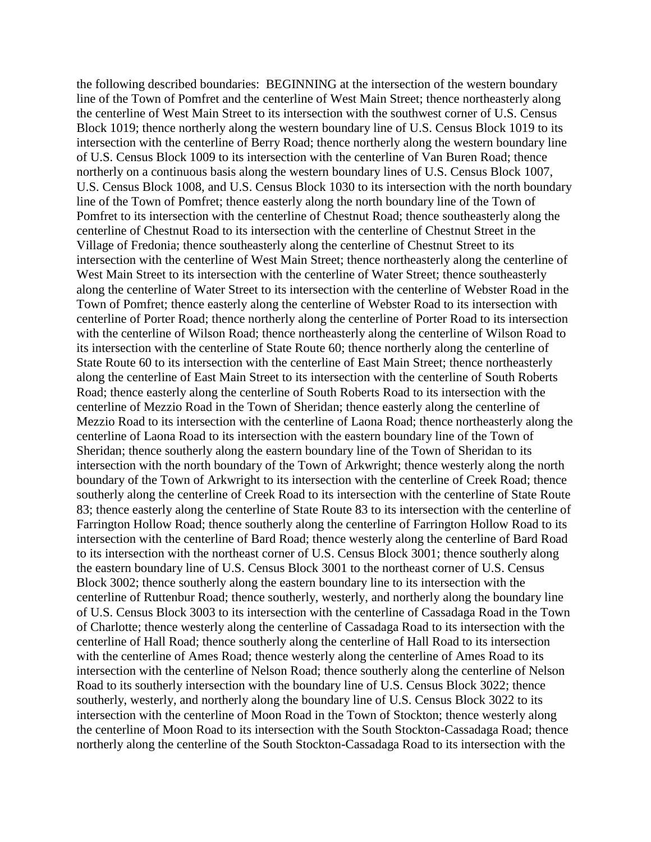the following described boundaries: BEGINNING at the intersection of the western boundary line of the Town of Pomfret and the centerline of West Main Street; thence northeasterly along the centerline of West Main Street to its intersection with the southwest corner of U.S. Census Block 1019; thence northerly along the western boundary line of U.S. Census Block 1019 to its intersection with the centerline of Berry Road; thence northerly along the western boundary line of U.S. Census Block 1009 to its intersection with the centerline of Van Buren Road; thence northerly on a continuous basis along the western boundary lines of U.S. Census Block 1007, U.S. Census Block 1008, and U.S. Census Block 1030 to its intersection with the north boundary line of the Town of Pomfret; thence easterly along the north boundary line of the Town of Pomfret to its intersection with the centerline of Chestnut Road; thence southeasterly along the centerline of Chestnut Road to its intersection with the centerline of Chestnut Street in the Village of Fredonia; thence southeasterly along the centerline of Chestnut Street to its intersection with the centerline of West Main Street; thence northeasterly along the centerline of West Main Street to its intersection with the centerline of Water Street; thence southeasterly along the centerline of Water Street to its intersection with the centerline of Webster Road in the Town of Pomfret; thence easterly along the centerline of Webster Road to its intersection with centerline of Porter Road; thence northerly along the centerline of Porter Road to its intersection with the centerline of Wilson Road; thence northeasterly along the centerline of Wilson Road to its intersection with the centerline of State Route 60; thence northerly along the centerline of State Route 60 to its intersection with the centerline of East Main Street; thence northeasterly along the centerline of East Main Street to its intersection with the centerline of South Roberts Road; thence easterly along the centerline of South Roberts Road to its intersection with the centerline of Mezzio Road in the Town of Sheridan; thence easterly along the centerline of Mezzio Road to its intersection with the centerline of Laona Road; thence northeasterly along the centerline of Laona Road to its intersection with the eastern boundary line of the Town of Sheridan; thence southerly along the eastern boundary line of the Town of Sheridan to its intersection with the north boundary of the Town of Arkwright; thence westerly along the north boundary of the Town of Arkwright to its intersection with the centerline of Creek Road; thence southerly along the centerline of Creek Road to its intersection with the centerline of State Route 83; thence easterly along the centerline of State Route 83 to its intersection with the centerline of Farrington Hollow Road; thence southerly along the centerline of Farrington Hollow Road to its intersection with the centerline of Bard Road; thence westerly along the centerline of Bard Road to its intersection with the northeast corner of U.S. Census Block 3001; thence southerly along the eastern boundary line of U.S. Census Block 3001 to the northeast corner of U.S. Census Block 3002; thence southerly along the eastern boundary line to its intersection with the centerline of Ruttenbur Road; thence southerly, westerly, and northerly along the boundary line of U.S. Census Block 3003 to its intersection with the centerline of Cassadaga Road in the Town of Charlotte; thence westerly along the centerline of Cassadaga Road to its intersection with the centerline of Hall Road; thence southerly along the centerline of Hall Road to its intersection with the centerline of Ames Road; thence westerly along the centerline of Ames Road to its intersection with the centerline of Nelson Road; thence southerly along the centerline of Nelson Road to its southerly intersection with the boundary line of U.S. Census Block 3022; thence southerly, westerly, and northerly along the boundary line of U.S. Census Block 3022 to its intersection with the centerline of Moon Road in the Town of Stockton; thence westerly along the centerline of Moon Road to its intersection with the South Stockton-Cassadaga Road; thence northerly along the centerline of the South Stockton-Cassadaga Road to its intersection with the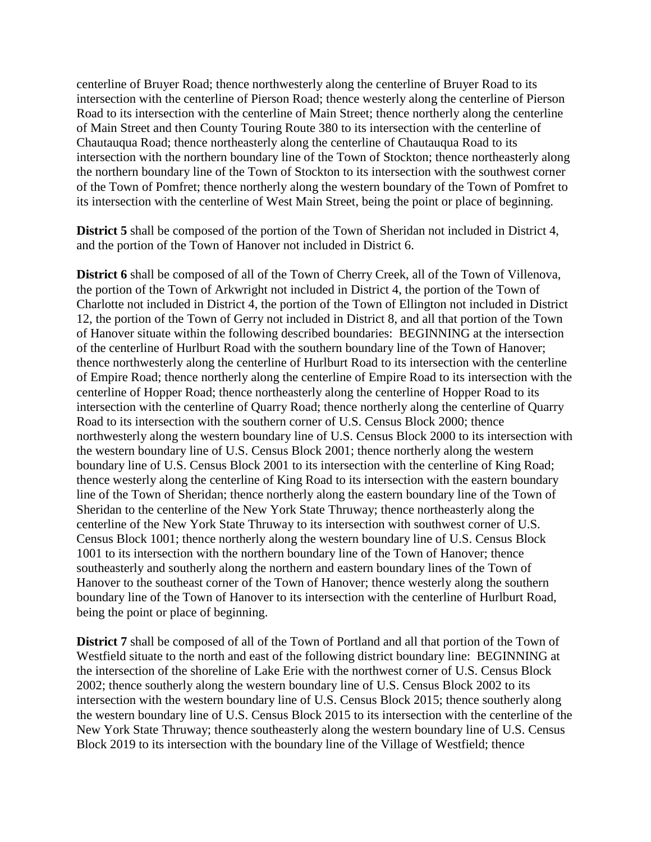centerline of Bruyer Road; thence northwesterly along the centerline of Bruyer Road to its intersection with the centerline of Pierson Road; thence westerly along the centerline of Pierson Road to its intersection with the centerline of Main Street; thence northerly along the centerline of Main Street and then County Touring Route 380 to its intersection with the centerline of Chautauqua Road; thence northeasterly along the centerline of Chautauqua Road to its intersection with the northern boundary line of the Town of Stockton; thence northeasterly along the northern boundary line of the Town of Stockton to its intersection with the southwest corner of the Town of Pomfret; thence northerly along the western boundary of the Town of Pomfret to its intersection with the centerline of West Main Street, being the point or place of beginning.

**District 5** shall be composed of the portion of the Town of Sheridan not included in District 4, and the portion of the Town of Hanover not included in District 6.

**District 6** shall be composed of all of the Town of Cherry Creek, all of the Town of Villenova, the portion of the Town of Arkwright not included in District 4, the portion of the Town of Charlotte not included in District 4, the portion of the Town of Ellington not included in District 12, the portion of the Town of Gerry not included in District 8, and all that portion of the Town of Hanover situate within the following described boundaries: BEGINNING at the intersection of the centerline of Hurlburt Road with the southern boundary line of the Town of Hanover; thence northwesterly along the centerline of Hurlburt Road to its intersection with the centerline of Empire Road; thence northerly along the centerline of Empire Road to its intersection with the centerline of Hopper Road; thence northeasterly along the centerline of Hopper Road to its intersection with the centerline of Quarry Road; thence northerly along the centerline of Quarry Road to its intersection with the southern corner of U.S. Census Block 2000; thence northwesterly along the western boundary line of U.S. Census Block 2000 to its intersection with the western boundary line of U.S. Census Block 2001; thence northerly along the western boundary line of U.S. Census Block 2001 to its intersection with the centerline of King Road; thence westerly along the centerline of King Road to its intersection with the eastern boundary line of the Town of Sheridan; thence northerly along the eastern boundary line of the Town of Sheridan to the centerline of the New York State Thruway; thence northeasterly along the centerline of the New York State Thruway to its intersection with southwest corner of U.S. Census Block 1001; thence northerly along the western boundary line of U.S. Census Block 1001 to its intersection with the northern boundary line of the Town of Hanover; thence southeasterly and southerly along the northern and eastern boundary lines of the Town of Hanover to the southeast corner of the Town of Hanover; thence westerly along the southern boundary line of the Town of Hanover to its intersection with the centerline of Hurlburt Road, being the point or place of beginning.

**District 7** shall be composed of all of the Town of Portland and all that portion of the Town of Westfield situate to the north and east of the following district boundary line: BEGINNING at the intersection of the shoreline of Lake Erie with the northwest corner of U.S. Census Block 2002; thence southerly along the western boundary line of U.S. Census Block 2002 to its intersection with the western boundary line of U.S. Census Block 2015; thence southerly along the western boundary line of U.S. Census Block 2015 to its intersection with the centerline of the New York State Thruway; thence southeasterly along the western boundary line of U.S. Census Block 2019 to its intersection with the boundary line of the Village of Westfield; thence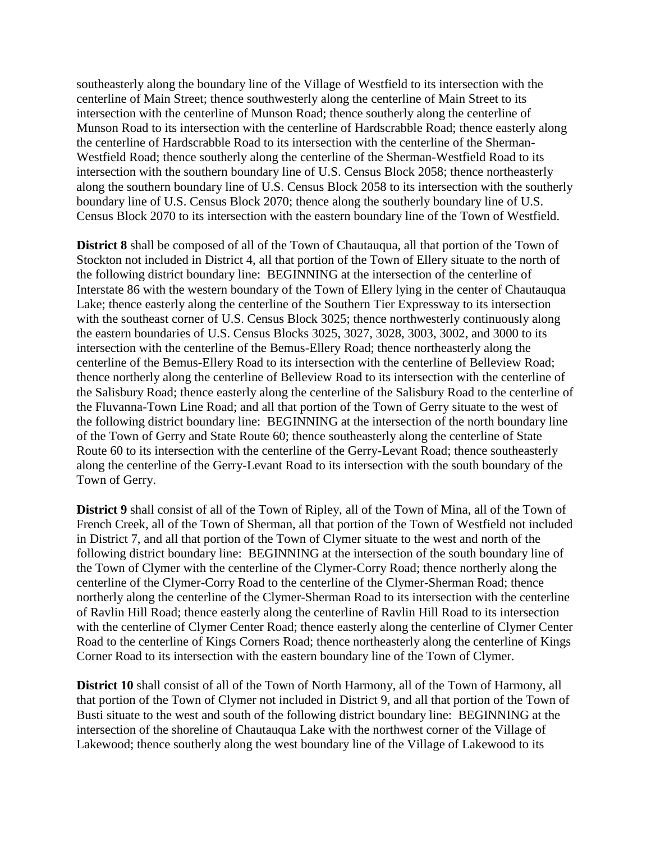southeasterly along the boundary line of the Village of Westfield to its intersection with the centerline of Main Street; thence southwesterly along the centerline of Main Street to its intersection with the centerline of Munson Road; thence southerly along the centerline of Munson Road to its intersection with the centerline of Hardscrabble Road; thence easterly along the centerline of Hardscrabble Road to its intersection with the centerline of the Sherman-Westfield Road; thence southerly along the centerline of the Sherman-Westfield Road to its intersection with the southern boundary line of U.S. Census Block 2058; thence northeasterly along the southern boundary line of U.S. Census Block 2058 to its intersection with the southerly boundary line of U.S. Census Block 2070; thence along the southerly boundary line of U.S. Census Block 2070 to its intersection with the eastern boundary line of the Town of Westfield.

**District 8** shall be composed of all of the Town of Chautauqua, all that portion of the Town of Stockton not included in District 4, all that portion of the Town of Ellery situate to the north of the following district boundary line: BEGINNING at the intersection of the centerline of Interstate 86 with the western boundary of the Town of Ellery lying in the center of Chautauqua Lake; thence easterly along the centerline of the Southern Tier Expressway to its intersection with the southeast corner of U.S. Census Block 3025; thence northwesterly continuously along the eastern boundaries of U.S. Census Blocks 3025, 3027, 3028, 3003, 3002, and 3000 to its intersection with the centerline of the Bemus-Ellery Road; thence northeasterly along the centerline of the Bemus-Ellery Road to its intersection with the centerline of Belleview Road; thence northerly along the centerline of Belleview Road to its intersection with the centerline of the Salisbury Road; thence easterly along the centerline of the Salisbury Road to the centerline of the Fluvanna-Town Line Road; and all that portion of the Town of Gerry situate to the west of the following district boundary line: BEGINNING at the intersection of the north boundary line of the Town of Gerry and State Route 60; thence southeasterly along the centerline of State Route 60 to its intersection with the centerline of the Gerry-Levant Road; thence southeasterly along the centerline of the Gerry-Levant Road to its intersection with the south boundary of the Town of Gerry.

**District 9** shall consist of all of the Town of Ripley, all of the Town of Mina, all of the Town of French Creek, all of the Town of Sherman, all that portion of the Town of Westfield not included in District 7, and all that portion of the Town of Clymer situate to the west and north of the following district boundary line: BEGINNING at the intersection of the south boundary line of the Town of Clymer with the centerline of the Clymer-Corry Road; thence northerly along the centerline of the Clymer-Corry Road to the centerline of the Clymer-Sherman Road; thence northerly along the centerline of the Clymer-Sherman Road to its intersection with the centerline of Ravlin Hill Road; thence easterly along the centerline of Ravlin Hill Road to its intersection with the centerline of Clymer Center Road; thence easterly along the centerline of Clymer Center Road to the centerline of Kings Corners Road; thence northeasterly along the centerline of Kings Corner Road to its intersection with the eastern boundary line of the Town of Clymer.

**District 10** shall consist of all of the Town of North Harmony, all of the Town of Harmony, all that portion of the Town of Clymer not included in District 9, and all that portion of the Town of Busti situate to the west and south of the following district boundary line: BEGINNING at the intersection of the shoreline of Chautauqua Lake with the northwest corner of the Village of Lakewood; thence southerly along the west boundary line of the Village of Lakewood to its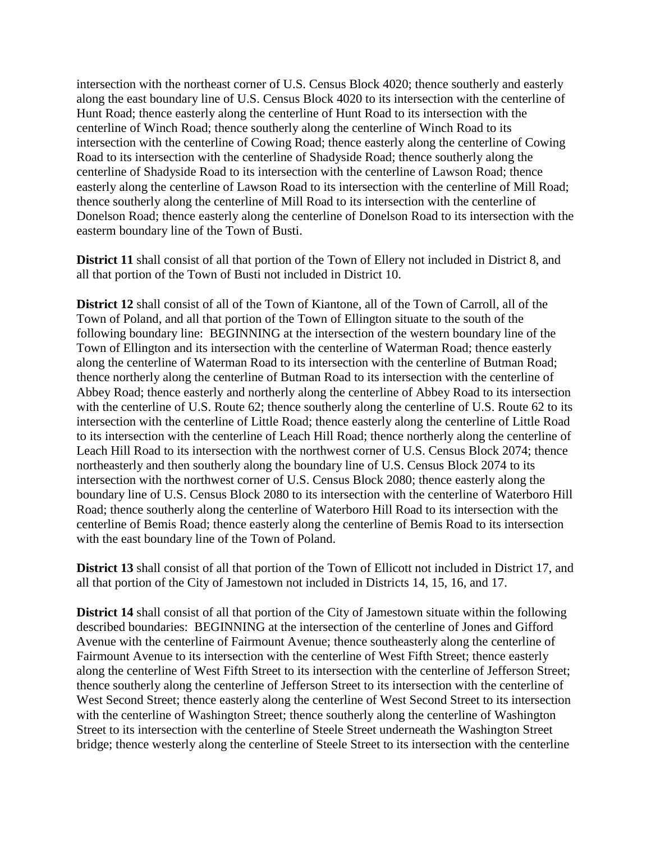intersection with the northeast corner of U.S. Census Block 4020; thence southerly and easterly along the east boundary line of U.S. Census Block 4020 to its intersection with the centerline of Hunt Road; thence easterly along the centerline of Hunt Road to its intersection with the centerline of Winch Road; thence southerly along the centerline of Winch Road to its intersection with the centerline of Cowing Road; thence easterly along the centerline of Cowing Road to its intersection with the centerline of Shadyside Road; thence southerly along the centerline of Shadyside Road to its intersection with the centerline of Lawson Road; thence easterly along the centerline of Lawson Road to its intersection with the centerline of Mill Road; thence southerly along the centerline of Mill Road to its intersection with the centerline of Donelson Road; thence easterly along the centerline of Donelson Road to its intersection with the easterm boundary line of the Town of Busti.

**District 11** shall consist of all that portion of the Town of Ellery not included in District 8, and all that portion of the Town of Busti not included in District 10.

**District 12** shall consist of all of the Town of Kiantone, all of the Town of Carroll, all of the Town of Poland, and all that portion of the Town of Ellington situate to the south of the following boundary line: BEGINNING at the intersection of the western boundary line of the Town of Ellington and its intersection with the centerline of Waterman Road; thence easterly along the centerline of Waterman Road to its intersection with the centerline of Butman Road; thence northerly along the centerline of Butman Road to its intersection with the centerline of Abbey Road; thence easterly and northerly along the centerline of Abbey Road to its intersection with the centerline of U.S. Route 62; thence southerly along the centerline of U.S. Route 62 to its intersection with the centerline of Little Road; thence easterly along the centerline of Little Road to its intersection with the centerline of Leach Hill Road; thence northerly along the centerline of Leach Hill Road to its intersection with the northwest corner of U.S. Census Block 2074; thence northeasterly and then southerly along the boundary line of U.S. Census Block 2074 to its intersection with the northwest corner of U.S. Census Block 2080; thence easterly along the boundary line of U.S. Census Block 2080 to its intersection with the centerline of Waterboro Hill Road; thence southerly along the centerline of Waterboro Hill Road to its intersection with the centerline of Bemis Road; thence easterly along the centerline of Bemis Road to its intersection with the east boundary line of the Town of Poland.

**District 13** shall consist of all that portion of the Town of Ellicott not included in District 17, and all that portion of the City of Jamestown not included in Districts 14, 15, 16, and 17.

**District 14** shall consist of all that portion of the City of Jamestown situate within the following described boundaries: BEGINNING at the intersection of the centerline of Jones and Gifford Avenue with the centerline of Fairmount Avenue; thence southeasterly along the centerline of Fairmount Avenue to its intersection with the centerline of West Fifth Street; thence easterly along the centerline of West Fifth Street to its intersection with the centerline of Jefferson Street; thence southerly along the centerline of Jefferson Street to its intersection with the centerline of West Second Street; thence easterly along the centerline of West Second Street to its intersection with the centerline of Washington Street; thence southerly along the centerline of Washington Street to its intersection with the centerline of Steele Street underneath the Washington Street bridge; thence westerly along the centerline of Steele Street to its intersection with the centerline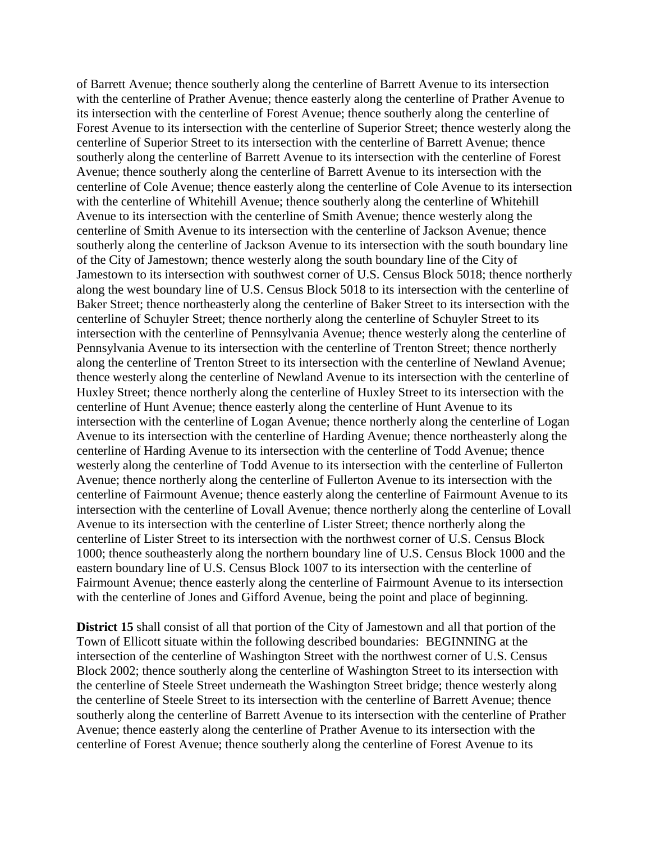of Barrett Avenue; thence southerly along the centerline of Barrett Avenue to its intersection with the centerline of Prather Avenue; thence easterly along the centerline of Prather Avenue to its intersection with the centerline of Forest Avenue; thence southerly along the centerline of Forest Avenue to its intersection with the centerline of Superior Street; thence westerly along the centerline of Superior Street to its intersection with the centerline of Barrett Avenue; thence southerly along the centerline of Barrett Avenue to its intersection with the centerline of Forest Avenue; thence southerly along the centerline of Barrett Avenue to its intersection with the centerline of Cole Avenue; thence easterly along the centerline of Cole Avenue to its intersection with the centerline of Whitehill Avenue; thence southerly along the centerline of Whitehill Avenue to its intersection with the centerline of Smith Avenue; thence westerly along the centerline of Smith Avenue to its intersection with the centerline of Jackson Avenue; thence southerly along the centerline of Jackson Avenue to its intersection with the south boundary line of the City of Jamestown; thence westerly along the south boundary line of the City of Jamestown to its intersection with southwest corner of U.S. Census Block 5018; thence northerly along the west boundary line of U.S. Census Block 5018 to its intersection with the centerline of Baker Street; thence northeasterly along the centerline of Baker Street to its intersection with the centerline of Schuyler Street; thence northerly along the centerline of Schuyler Street to its intersection with the centerline of Pennsylvania Avenue; thence westerly along the centerline of Pennsylvania Avenue to its intersection with the centerline of Trenton Street; thence northerly along the centerline of Trenton Street to its intersection with the centerline of Newland Avenue; thence westerly along the centerline of Newland Avenue to its intersection with the centerline of Huxley Street; thence northerly along the centerline of Huxley Street to its intersection with the centerline of Hunt Avenue; thence easterly along the centerline of Hunt Avenue to its intersection with the centerline of Logan Avenue; thence northerly along the centerline of Logan Avenue to its intersection with the centerline of Harding Avenue; thence northeasterly along the centerline of Harding Avenue to its intersection with the centerline of Todd Avenue; thence westerly along the centerline of Todd Avenue to its intersection with the centerline of Fullerton Avenue; thence northerly along the centerline of Fullerton Avenue to its intersection with the centerline of Fairmount Avenue; thence easterly along the centerline of Fairmount Avenue to its intersection with the centerline of Lovall Avenue; thence northerly along the centerline of Lovall Avenue to its intersection with the centerline of Lister Street; thence northerly along the centerline of Lister Street to its intersection with the northwest corner of U.S. Census Block 1000; thence southeasterly along the northern boundary line of U.S. Census Block 1000 and the eastern boundary line of U.S. Census Block 1007 to its intersection with the centerline of Fairmount Avenue; thence easterly along the centerline of Fairmount Avenue to its intersection with the centerline of Jones and Gifford Avenue, being the point and place of beginning.

**District 15** shall consist of all that portion of the City of Jamestown and all that portion of the Town of Ellicott situate within the following described boundaries: BEGINNING at the intersection of the centerline of Washington Street with the northwest corner of U.S. Census Block 2002; thence southerly along the centerline of Washington Street to its intersection with the centerline of Steele Street underneath the Washington Street bridge; thence westerly along the centerline of Steele Street to its intersection with the centerline of Barrett Avenue; thence southerly along the centerline of Barrett Avenue to its intersection with the centerline of Prather Avenue; thence easterly along the centerline of Prather Avenue to its intersection with the centerline of Forest Avenue; thence southerly along the centerline of Forest Avenue to its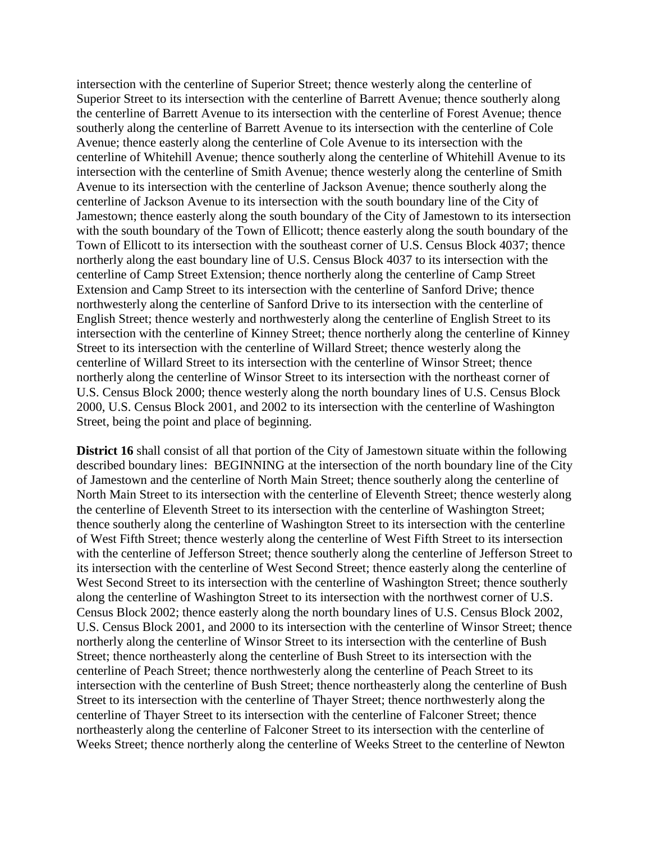intersection with the centerline of Superior Street; thence westerly along the centerline of Superior Street to its intersection with the centerline of Barrett Avenue; thence southerly along the centerline of Barrett Avenue to its intersection with the centerline of Forest Avenue; thence southerly along the centerline of Barrett Avenue to its intersection with the centerline of Cole Avenue; thence easterly along the centerline of Cole Avenue to its intersection with the centerline of Whitehill Avenue; thence southerly along the centerline of Whitehill Avenue to its intersection with the centerline of Smith Avenue; thence westerly along the centerline of Smith Avenue to its intersection with the centerline of Jackson Avenue; thence southerly along the centerline of Jackson Avenue to its intersection with the south boundary line of the City of Jamestown; thence easterly along the south boundary of the City of Jamestown to its intersection with the south boundary of the Town of Ellicott; thence easterly along the south boundary of the Town of Ellicott to its intersection with the southeast corner of U.S. Census Block 4037; thence northerly along the east boundary line of U.S. Census Block 4037 to its intersection with the centerline of Camp Street Extension; thence northerly along the centerline of Camp Street Extension and Camp Street to its intersection with the centerline of Sanford Drive; thence northwesterly along the centerline of Sanford Drive to its intersection with the centerline of English Street; thence westerly and northwesterly along the centerline of English Street to its intersection with the centerline of Kinney Street; thence northerly along the centerline of Kinney Street to its intersection with the centerline of Willard Street; thence westerly along the centerline of Willard Street to its intersection with the centerline of Winsor Street; thence northerly along the centerline of Winsor Street to its intersection with the northeast corner of U.S. Census Block 2000; thence westerly along the north boundary lines of U.S. Census Block 2000, U.S. Census Block 2001, and 2002 to its intersection with the centerline of Washington Street, being the point and place of beginning.

**District 16** shall consist of all that portion of the City of Jamestown situate within the following described boundary lines: BEGINNING at the intersection of the north boundary line of the City of Jamestown and the centerline of North Main Street; thence southerly along the centerline of North Main Street to its intersection with the centerline of Eleventh Street; thence westerly along the centerline of Eleventh Street to its intersection with the centerline of Washington Street; thence southerly along the centerline of Washington Street to its intersection with the centerline of West Fifth Street; thence westerly along the centerline of West Fifth Street to its intersection with the centerline of Jefferson Street; thence southerly along the centerline of Jefferson Street to its intersection with the centerline of West Second Street; thence easterly along the centerline of West Second Street to its intersection with the centerline of Washington Street; thence southerly along the centerline of Washington Street to its intersection with the northwest corner of U.S. Census Block 2002; thence easterly along the north boundary lines of U.S. Census Block 2002, U.S. Census Block 2001, and 2000 to its intersection with the centerline of Winsor Street; thence northerly along the centerline of Winsor Street to its intersection with the centerline of Bush Street; thence northeasterly along the centerline of Bush Street to its intersection with the centerline of Peach Street; thence northwesterly along the centerline of Peach Street to its intersection with the centerline of Bush Street; thence northeasterly along the centerline of Bush Street to its intersection with the centerline of Thayer Street; thence northwesterly along the centerline of Thayer Street to its intersection with the centerline of Falconer Street; thence northeasterly along the centerline of Falconer Street to its intersection with the centerline of Weeks Street; thence northerly along the centerline of Weeks Street to the centerline of Newton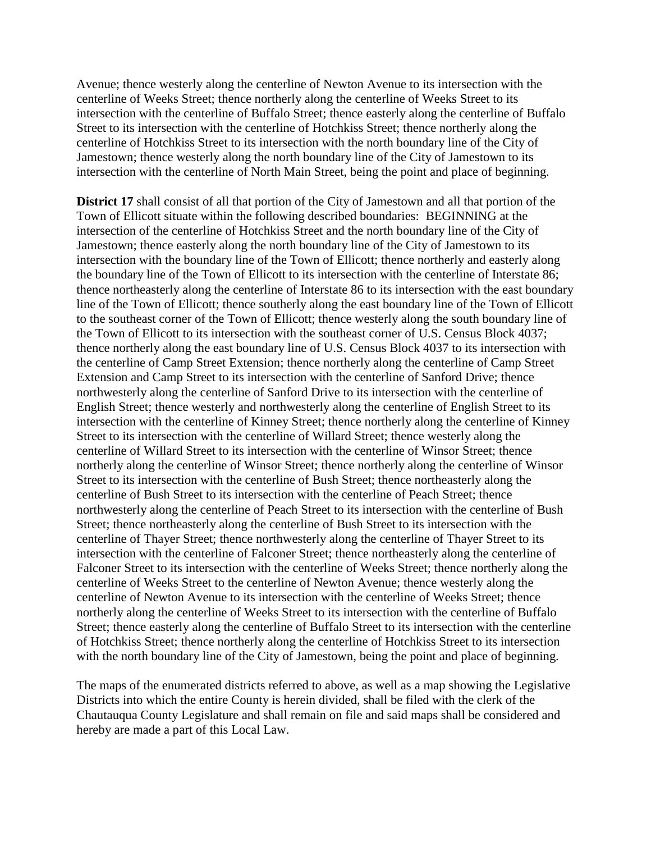Avenue; thence westerly along the centerline of Newton Avenue to its intersection with the centerline of Weeks Street; thence northerly along the centerline of Weeks Street to its intersection with the centerline of Buffalo Street; thence easterly along the centerline of Buffalo Street to its intersection with the centerline of Hotchkiss Street; thence northerly along the centerline of Hotchkiss Street to its intersection with the north boundary line of the City of Jamestown; thence westerly along the north boundary line of the City of Jamestown to its intersection with the centerline of North Main Street, being the point and place of beginning.

**District 17** shall consist of all that portion of the City of Jamestown and all that portion of the Town of Ellicott situate within the following described boundaries: BEGINNING at the intersection of the centerline of Hotchkiss Street and the north boundary line of the City of Jamestown; thence easterly along the north boundary line of the City of Jamestown to its intersection with the boundary line of the Town of Ellicott; thence northerly and easterly along the boundary line of the Town of Ellicott to its intersection with the centerline of Interstate 86; thence northeasterly along the centerline of Interstate 86 to its intersection with the east boundary line of the Town of Ellicott; thence southerly along the east boundary line of the Town of Ellicott to the southeast corner of the Town of Ellicott; thence westerly along the south boundary line of the Town of Ellicott to its intersection with the southeast corner of U.S. Census Block 4037; thence northerly along the east boundary line of U.S. Census Block 4037 to its intersection with the centerline of Camp Street Extension; thence northerly along the centerline of Camp Street Extension and Camp Street to its intersection with the centerline of Sanford Drive; thence northwesterly along the centerline of Sanford Drive to its intersection with the centerline of English Street; thence westerly and northwesterly along the centerline of English Street to its intersection with the centerline of Kinney Street; thence northerly along the centerline of Kinney Street to its intersection with the centerline of Willard Street; thence westerly along the centerline of Willard Street to its intersection with the centerline of Winsor Street; thence northerly along the centerline of Winsor Street; thence northerly along the centerline of Winsor Street to its intersection with the centerline of Bush Street; thence northeasterly along the centerline of Bush Street to its intersection with the centerline of Peach Street; thence northwesterly along the centerline of Peach Street to its intersection with the centerline of Bush Street; thence northeasterly along the centerline of Bush Street to its intersection with the centerline of Thayer Street; thence northwesterly along the centerline of Thayer Street to its intersection with the centerline of Falconer Street; thence northeasterly along the centerline of Falconer Street to its intersection with the centerline of Weeks Street; thence northerly along the centerline of Weeks Street to the centerline of Newton Avenue; thence westerly along the centerline of Newton Avenue to its intersection with the centerline of Weeks Street; thence northerly along the centerline of Weeks Street to its intersection with the centerline of Buffalo Street; thence easterly along the centerline of Buffalo Street to its intersection with the centerline of Hotchkiss Street; thence northerly along the centerline of Hotchkiss Street to its intersection with the north boundary line of the City of Jamestown, being the point and place of beginning.

The maps of the enumerated districts referred to above, as well as a map showing the Legislative Districts into which the entire County is herein divided, shall be filed with the clerk of the Chautauqua County Legislature and shall remain on file and said maps shall be considered and hereby are made a part of this Local Law.